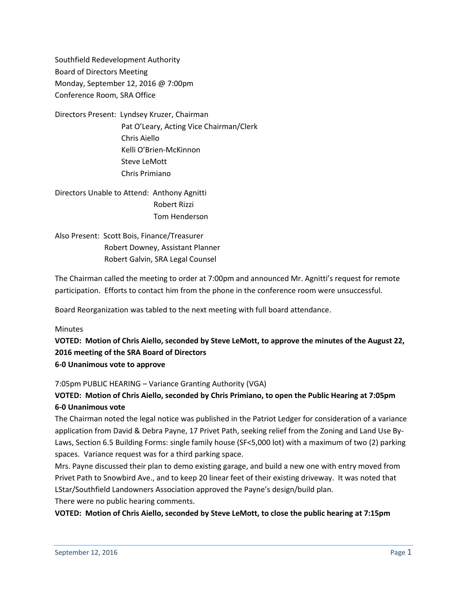Southfield Redevelopment Authority Board of Directors Meeting Monday, September 12, 2016 @ 7:00pm Conference Room, SRA Office

Directors Present: Lyndsey Kruzer, Chairman Pat O'Leary, Acting Vice Chairman/Clerk Chris Aiello Kelli O'Brien-McKinnon Steve LeMott Chris Primiano

Directors Unable to Attend: Anthony Agnitti Robert Rizzi Tom Henderson

Also Present: Scott Bois, Finance/Treasurer Robert Downey, Assistant Planner Robert Galvin, SRA Legal Counsel

The Chairman called the meeting to order at 7:00pm and announced Mr. Agnitti's request for remote participation. Efforts to contact him from the phone in the conference room were unsuccessful.

Board Reorganization was tabled to the next meeting with full board attendance.

**Minutes** 

**VOTED: Motion of Chris Aiello, seconded by Steve LeMott, to approve the minutes of the August 22, 2016 meeting of the SRA Board of Directors 6-0 Unanimous vote to approve**

7:05pm PUBLIC HEARING – Variance Granting Authority (VGA)

# **VOTED: Motion of Chris Aiello, seconded by Chris Primiano, to open the Public Hearing at 7:05pm 6-0 Unanimous vote**

The Chairman noted the legal notice was published in the Patriot Ledger for consideration of a variance application from David & Debra Payne, 17 Privet Path, seeking relief from the Zoning and Land Use By-Laws, Section 6.5 Building Forms: single family house (SF<5,000 lot) with a maximum of two (2) parking spaces. Variance request was for a third parking space.

Mrs. Payne discussed their plan to demo existing garage, and build a new one with entry moved from Privet Path to Snowbird Ave., and to keep 20 linear feet of their existing driveway. It was noted that LStar/Southfield Landowners Association approved the Payne's design/build plan.

There were no public hearing comments.

**VOTED: Motion of Chris Aiello, seconded by Steve LeMott, to close the public hearing at 7:15pm**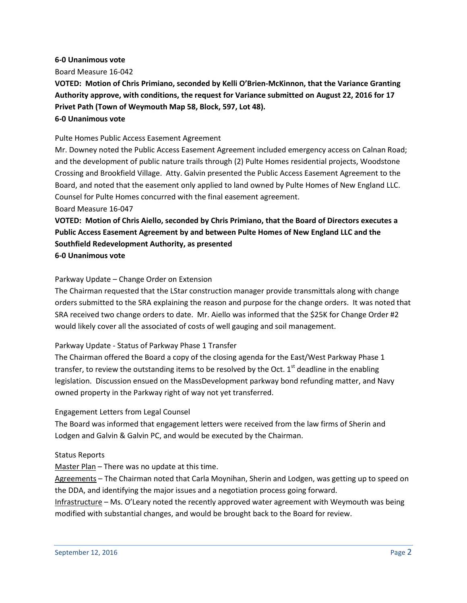#### **6-0 Unanimous vote**

Board Measure 16-042

**VOTED: Motion of Chris Primiano, seconded by Kelli O'Brien-McKinnon, that the Variance Granting Authority approve, with conditions, the request for Variance submitted on August 22, 2016 for 17 Privet Path (Town of Weymouth Map 58, Block, 597, Lot 48).**

## **6-0 Unanimous vote**

#### Pulte Homes Public Access Easement Agreement

Mr. Downey noted the Public Access Easement Agreement included emergency access on Calnan Road; and the development of public nature trails through (2) Pulte Homes residential projects, Woodstone Crossing and Brookfield Village. Atty. Galvin presented the Public Access Easement Agreement to the Board, and noted that the easement only applied to land owned by Pulte Homes of New England LLC. Counsel for Pulte Homes concurred with the final easement agreement.

#### Board Measure 16-047

**VOTED: Motion of Chris Aiello, seconded by Chris Primiano, that the Board of Directors executes a Public Access Easement Agreement by and between Pulte Homes of New England LLC and the Southfield Redevelopment Authority, as presented**

**6-0 Unanimous vote**

## Parkway Update – Change Order on Extension

The Chairman requested that the LStar construction manager provide transmittals along with change orders submitted to the SRA explaining the reason and purpose for the change orders. It was noted that SRA received two change orders to date. Mr. Aiello was informed that the \$25K for Change Order #2 would likely cover all the associated of costs of well gauging and soil management.

## Parkway Update - Status of Parkway Phase 1 Transfer

The Chairman offered the Board a copy of the closing agenda for the East/West Parkway Phase 1 transfer, to review the outstanding items to be resolved by the Oct.  $1<sup>st</sup>$  deadline in the enabling legislation. Discussion ensued on the MassDevelopment parkway bond refunding matter, and Navy owned property in the Parkway right of way not yet transferred.

## Engagement Letters from Legal Counsel

The Board was informed that engagement letters were received from the law firms of Sherin and Lodgen and Galvin & Galvin PC, and would be executed by the Chairman.

## Status Reports

Master Plan - There was no update at this time.

Agreements – The Chairman noted that Carla Moynihan, Sherin and Lodgen, was getting up to speed on the DDA, and identifying the major issues and a negotiation process going forward.

Infrastructure – Ms. O'Leary noted the recently approved water agreement with Weymouth was being modified with substantial changes, and would be brought back to the Board for review.